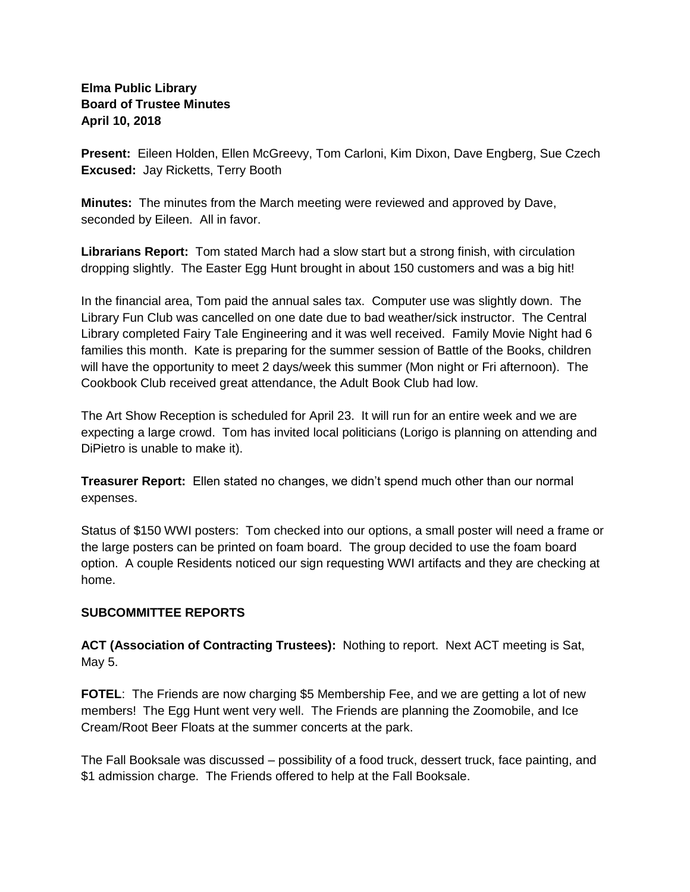### **Elma Public Library Board of Trustee Minutes April 10, 2018**

**Present:** Eileen Holden, Ellen McGreevy, Tom Carloni, Kim Dixon, Dave Engberg, Sue Czech **Excused:** Jay Ricketts, Terry Booth

**Minutes:** The minutes from the March meeting were reviewed and approved by Dave, seconded by Eileen. All in favor.

**Librarians Report:** Tom stated March had a slow start but a strong finish, with circulation dropping slightly. The Easter Egg Hunt brought in about 150 customers and was a big hit!

In the financial area, Tom paid the annual sales tax. Computer use was slightly down. The Library Fun Club was cancelled on one date due to bad weather/sick instructor. The Central Library completed Fairy Tale Engineering and it was well received. Family Movie Night had 6 families this month. Kate is preparing for the summer session of Battle of the Books, children will have the opportunity to meet 2 days/week this summer (Mon night or Fri afternoon). The Cookbook Club received great attendance, the Adult Book Club had low.

The Art Show Reception is scheduled for April 23. It will run for an entire week and we are expecting a large crowd. Tom has invited local politicians (Lorigo is planning on attending and DiPietro is unable to make it).

**Treasurer Report:** Ellen stated no changes, we didn't spend much other than our normal expenses.

Status of \$150 WWI posters: Tom checked into our options, a small poster will need a frame or the large posters can be printed on foam board. The group decided to use the foam board option. A couple Residents noticed our sign requesting WWI artifacts and they are checking at home.

### **SUBCOMMITTEE REPORTS**

**ACT (Association of Contracting Trustees):** Nothing to report. Next ACT meeting is Sat, May 5.

**FOTEL**: The Friends are now charging \$5 Membership Fee, and we are getting a lot of new members! The Egg Hunt went very well. The Friends are planning the Zoomobile, and Ice Cream/Root Beer Floats at the summer concerts at the park.

The Fall Booksale was discussed – possibility of a food truck, dessert truck, face painting, and \$1 admission charge. The Friends offered to help at the Fall Booksale.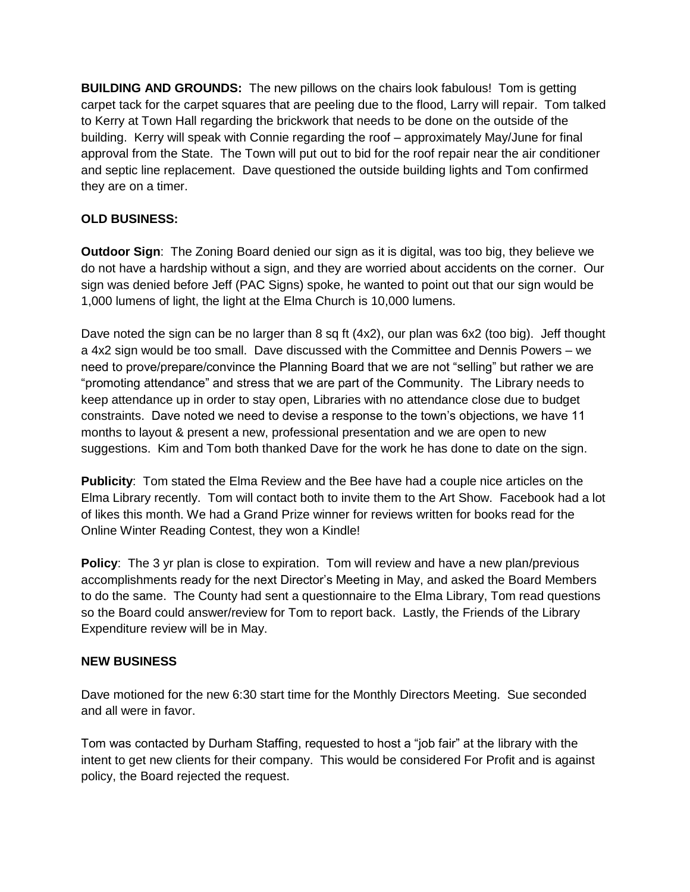**BUILDING AND GROUNDS:** The new pillows on the chairs look fabulous! Tom is getting carpet tack for the carpet squares that are peeling due to the flood, Larry will repair. Tom talked to Kerry at Town Hall regarding the brickwork that needs to be done on the outside of the building. Kerry will speak with Connie regarding the roof – approximately May/June for final approval from the State. The Town will put out to bid for the roof repair near the air conditioner and septic line replacement. Dave questioned the outside building lights and Tom confirmed they are on a timer.

## **OLD BUSINESS:**

**Outdoor Sign**: The Zoning Board denied our sign as it is digital, was too big, they believe we do not have a hardship without a sign, and they are worried about accidents on the corner. Our sign was denied before Jeff (PAC Signs) spoke, he wanted to point out that our sign would be 1,000 lumens of light, the light at the Elma Church is 10,000 lumens.

Dave noted the sign can be no larger than 8 sq ft (4x2), our plan was 6x2 (too big). Jeff thought a 4x2 sign would be too small. Dave discussed with the Committee and Dennis Powers – we need to prove/prepare/convince the Planning Board that we are not "selling" but rather we are "promoting attendance" and stress that we are part of the Community. The Library needs to keep attendance up in order to stay open, Libraries with no attendance close due to budget constraints. Dave noted we need to devise a response to the town's objections, we have 11 months to layout & present a new, professional presentation and we are open to new suggestions. Kim and Tom both thanked Dave for the work he has done to date on the sign.

**Publicity**: Tom stated the Elma Review and the Bee have had a couple nice articles on the Elma Library recently. Tom will contact both to invite them to the Art Show. Facebook had a lot of likes this month. We had a Grand Prize winner for reviews written for books read for the Online Winter Reading Contest, they won a Kindle!

**Policy:** The 3 yr plan is close to expiration. Tom will review and have a new plan/previous accomplishments ready for the next Director's Meeting in May, and asked the Board Members to do the same. The County had sent a questionnaire to the Elma Library, Tom read questions so the Board could answer/review for Tom to report back. Lastly, the Friends of the Library Expenditure review will be in May.

### **NEW BUSINESS**

Dave motioned for the new 6:30 start time for the Monthly Directors Meeting. Sue seconded and all were in favor.

Tom was contacted by Durham Staffing, requested to host a "job fair" at the library with the intent to get new clients for their company. This would be considered For Profit and is against policy, the Board rejected the request.